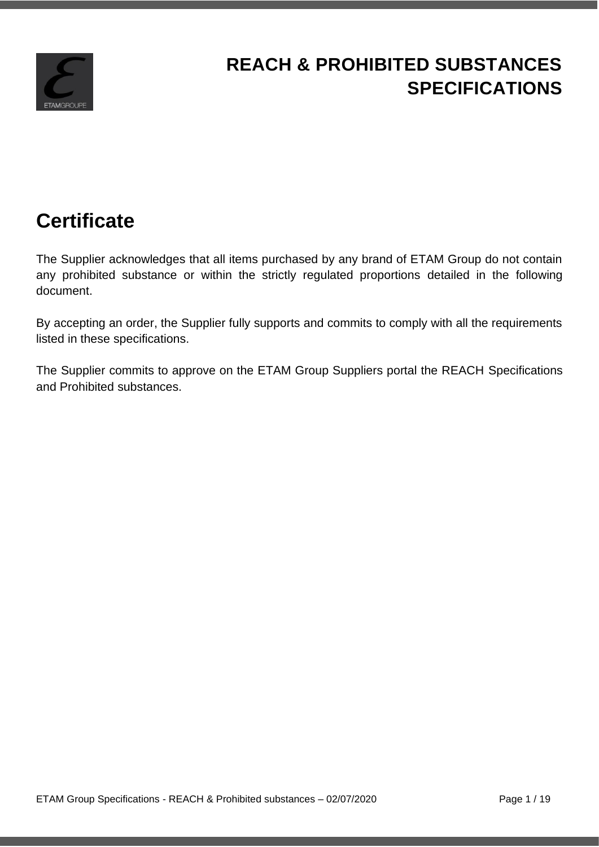

# **REACH & PROHIBITED SUBSTANCES SPECIFICATIONS**

# **Certificate**

The Supplier acknowledges that all items purchased by any brand of ETAM Group do not contain any prohibited substance or within the strictly regulated proportions detailed in the following document.

By accepting an order, the Supplier fully supports and commits to comply with all the requirements listed in these specifications.

The Supplier commits to approve on the ETAM Group Suppliers portal the REACH Specifications and Prohibited substances.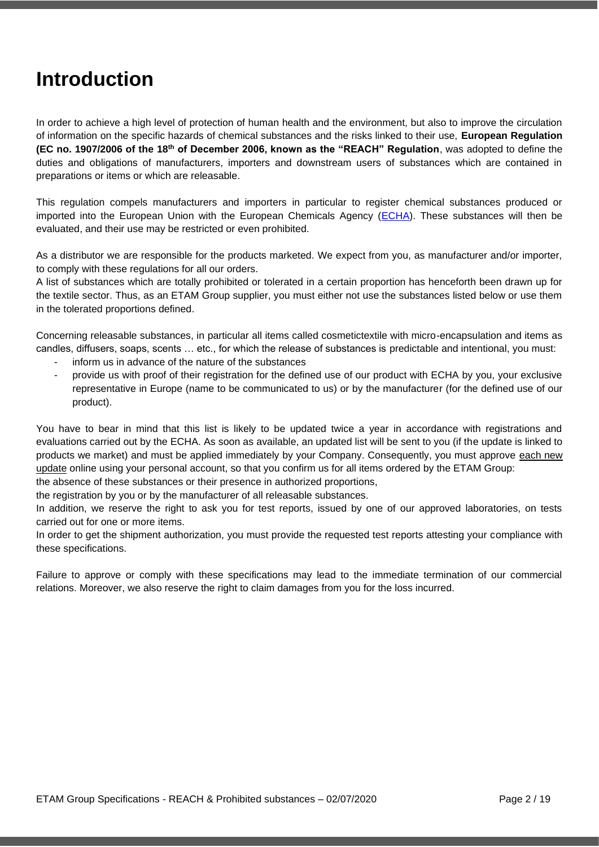# **Introduction**

In order to achieve a high level of protection of human health and the environment, but also to improve the circulation of information on the specific hazards of chemical substances and the risks linked to their use, **European Regulation (EC no. 1907/2006 of the 18th of December 2006, known as the "REACH" Regulation**, was adopted to define the duties and obligations of manufacturers, importers and downstream users of substances which are contained in preparations or items or which are releasable.

This regulation compels manufacturers and importers in particular to register chemical substances produced or imported into the European Union with the European Chemicals Agency [\(ECHA\)](http://echa.europa.eu/home_fr.asp). These substances will then be evaluated, and their use may be restricted or even prohibited.

As a distributor we are responsible for the products marketed. We expect from you, as manufacturer and/or importer, to comply with these regulations for all our orders.

A list of substances which are totally prohibited or tolerated in a certain proportion has henceforth been drawn up for the textile sector. Thus, as an ETAM Group supplier, you must either not use the substances listed below or use them in the tolerated proportions defined.

Concerning releasable substances, in particular all items called cosmetictextile with micro-encapsulation and items as candles, diffusers, soaps, scents … etc., for which the release of substances is predictable and intentional, you must:

- inform us in advance of the nature of the substances
- provide us with proof of their registration for the defined use of our product with ECHA by you, your exclusive representative in Europe (name to be communicated to us) or by the manufacturer (for the defined use of our product).

You have to bear in mind that this list is likely to be updated twice a year in accordance with registrations and evaluations carried out by the ECHA. As soon as available, an updated list will be sent to you (if the update is linked to products we market) and must be applied immediately by your Company. Consequently, you must approve each new update online using your personal account, so that you confirm us for all items ordered by the ETAM Group:

the absence of these substances or their presence in authorized proportions,

the registration by you or by the manufacturer of all releasable substances.

In addition, we reserve the right to ask you for test reports, issued by one of our approved laboratories, on tests carried out for one or more items.

In order to get the shipment authorization, you must provide the requested test reports attesting your compliance with these specifications.

Failure to approve or comply with these specifications may lead to the immediate termination of our commercial relations. Moreover, we also reserve the right to claim damages from you for the loss incurred.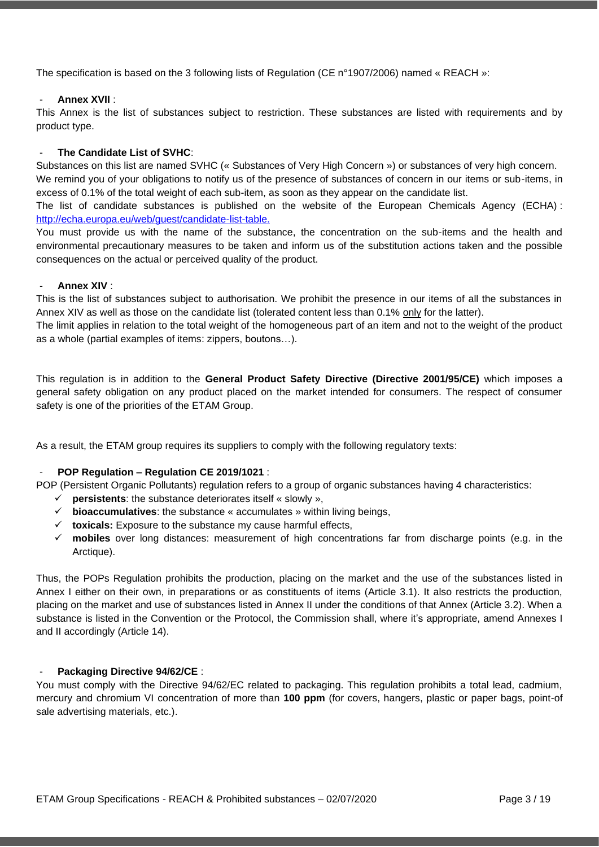The specification is based on the 3 following lists of Regulation (CE n°1907/2006) named « REACH »:

#### - **Annex XVII** :

This Annex is the list of substances subject to restriction. These substances are listed with requirements and by product type.

#### - **The Candidate List of SVHC**:

Substances on this list are named SVHC (« Substances of Very High Concern ») or substances of very high concern.

We remind you of your obligations to notify us of the presence of substances of concern in our items or sub-items, in excess of 0.1% of the total weight of each sub-item, as soon as they appear on the candidate list.

The list of candidate substances is published on the website of the European Chemicals Agency (ECHA) : [http://echa.europa.eu/web/guest/candidate-list-table.](http://echa.europa.eu/web/guest/candidate-list-table)

You must provide us with the name of the substance, the concentration on the sub-items and the health and environmental precautionary measures to be taken and inform us of the substitution actions taken and the possible consequences on the actual or perceived quality of the product.

#### - **Annex XIV** :

This is the list of substances subject to authorisation. We prohibit the presence in our items of all the substances in Annex XIV as well as those on the candidate list (tolerated content less than 0.1% only for the latter).

The limit applies in relation to the total weight of the homogeneous part of an item and not to the weight of the product as a whole (partial examples of items: zippers, boutons…).

This regulation is in addition to the **General Product Safety Directive (Directive 2001/95/CE)** which imposes a general safety obligation on any product placed on the market intended for consumers. The respect of consumer safety is one of the priorities of the ETAM Group.

As a result, the ETAM group requires its suppliers to comply with the following regulatory texts:

#### - **POP Regulation – Regulation CE 2019/1021** :

POP (Persistent Organic Pollutants) regulation refers to a group of organic substances having 4 characteristics:

- $\checkmark$  **persistents**: the substance deteriorates itself « slowly »,
- ✓ **bioaccumulatives**: the substance « accumulates » within living beings,
- ✓ **toxicals:** Exposure to the substance my cause harmful effects,
- ✓ **mobiles** over long distances: measurement of high concentrations far from discharge points (e.g. in the Arctique).

Thus, the POPs Regulation prohibits the production, placing on the market and the use of the substances listed in Annex I either on their own, in preparations or as constituents of items (Article 3.1). It also restricts the production, placing on the market and use of substances listed in Annex II under the conditions of that Annex (Article 3.2). When a substance is listed in the Convention or the Protocol, the Commission shall, where it's appropriate, amend Annexes I and II accordingly (Article 14).

#### - **Packaging Directive 94/62/CE** :

You must comply with the Directive 94/62/EC related to packaging. This regulation prohibits a total lead, cadmium, mercury and chromium VI concentration of more than **100 ppm** (for covers, hangers, plastic or paper bags, point-of sale advertising materials, etc.).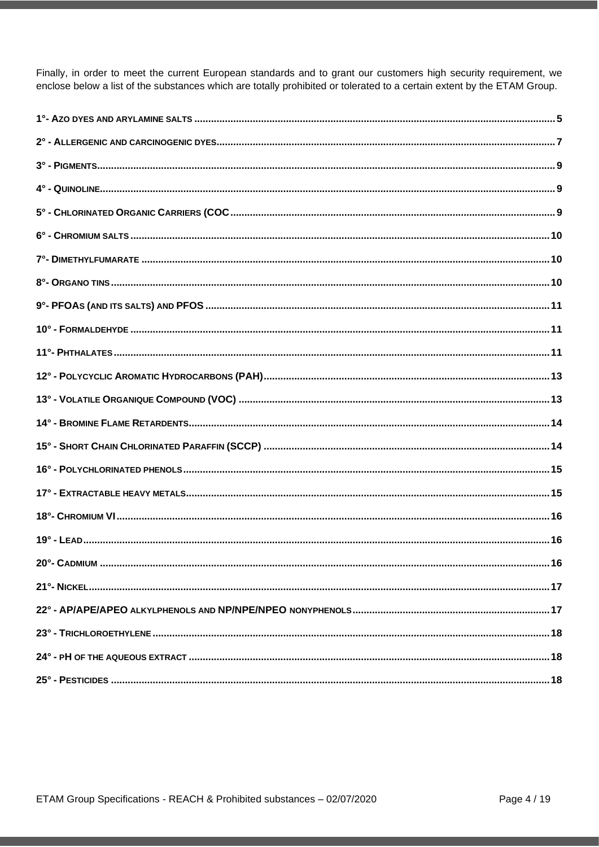Finally, in order to meet the current European standards and to grant our customers high security requirement, we enclose below a list of the substances which are totally prohibited or tolerated to a certain extent by the ETAM Group.

| 20°- CADMILIM | . 16 |
|---------------|------|
|               |      |
|               |      |
|               |      |
|               |      |
|               |      |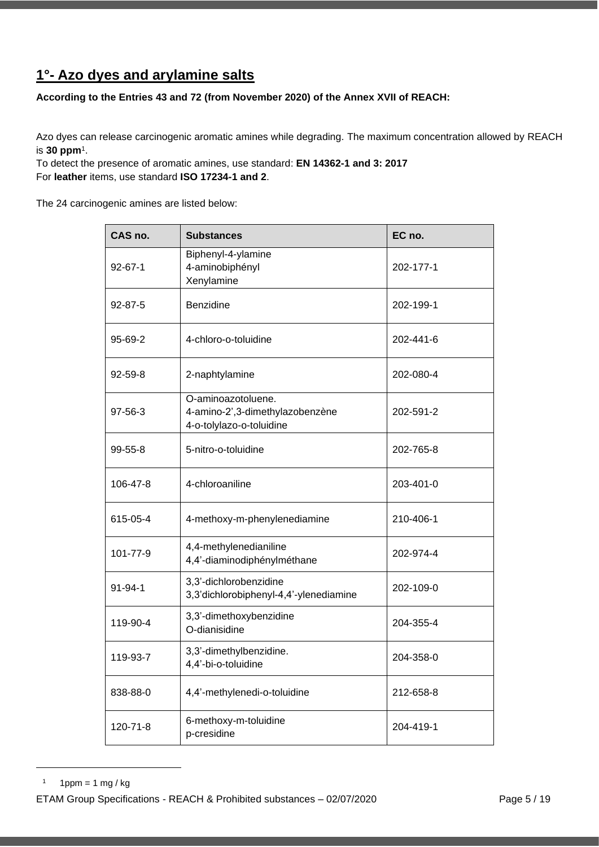## <span id="page-4-0"></span>**1°- Azo dyes and arylamine salts**

**According to the Entries 43 and 72 (from November 2020) of the Annex XVII of REACH:**

Azo dyes can release carcinogenic aromatic amines while degrading. The maximum concentration allowed by REACH is **30 ppm**<sup>1</sup> .

To detect the presence of aromatic amines, use standard: **EN 14362-1 and 3: 2017** For **leather** items, use standard **ISO 17234-1 and 2**.

The 24 carcinogenic amines are listed below:

| CAS no.       | <b>Substances</b>                                                                 | EC no.    |
|---------------|-----------------------------------------------------------------------------------|-----------|
| $92 - 67 - 1$ | Biphenyl-4-ylamine<br>4-aminobiphényl<br>Xenylamine                               | 202-177-1 |
| 92-87-5       | Benzidine                                                                         | 202-199-1 |
| 95-69-2       | 4-chloro-o-toluidine                                                              | 202-441-6 |
| 92-59-8       | 2-naphtylamine                                                                    | 202-080-4 |
| 97-56-3       | O-aminoazotoluene.<br>4-amino-2',3-dimethylazobenzène<br>4-o-tolylazo-o-toluidine | 202-591-2 |
| $99 - 55 - 8$ | 5-nitro-o-toluidine                                                               | 202-765-8 |
| 106-47-8      | 4-chloroaniline                                                                   | 203-401-0 |
| 615-05-4      | 4-methoxy-m-phenylenediamine                                                      | 210-406-1 |
| 101-77-9      | 4,4-methylenedianiline<br>4,4'-diaminodiphénylméthane                             | 202-974-4 |
| $91 - 94 - 1$ | 3,3'-dichlorobenzidine<br>3,3'dichlorobiphenyl-4,4'-ylenediamine                  | 202-109-0 |
| 119-90-4      | 3,3'-dimethoxybenzidine<br>O-dianisidine                                          | 204-355-4 |
| 119-93-7      | 3,3'-dimethylbenzidine.<br>4,4'-bi-o-toluidine                                    | 204-358-0 |
| 838-88-0      | 4,4'-methylenedi-o-toluidine                                                      | 212-658-8 |
| 120-71-8      | 6-methoxy-m-toluidine<br>p-cresidine                                              | 204-419-1 |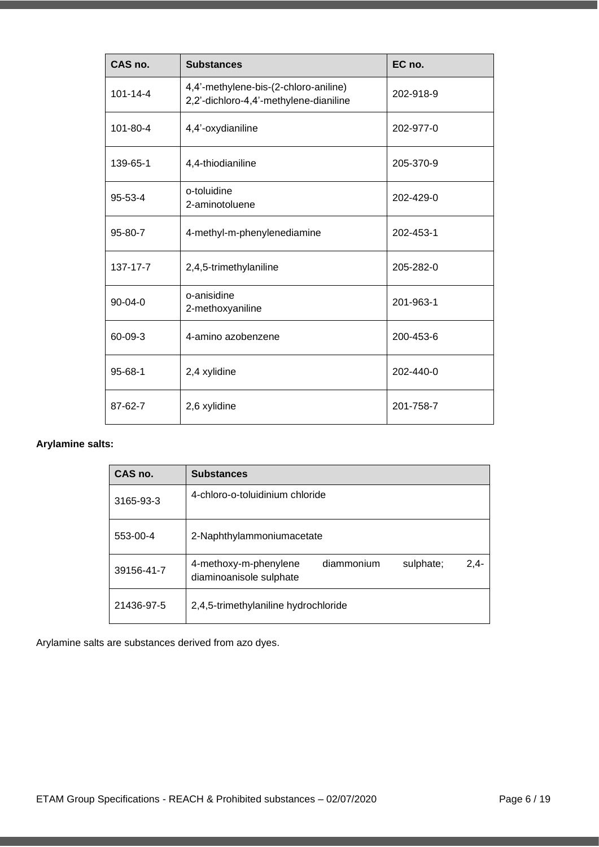| CAS no.        | <b>Substances</b>                                                               | EC no.    |
|----------------|---------------------------------------------------------------------------------|-----------|
| $101 - 14 - 4$ | 4,4'-methylene-bis-(2-chloro-aniline)<br>2,2'-dichloro-4,4'-methylene-dianiline | 202-918-9 |
| 101-80-4       | 4,4'-oxydianiline                                                               | 202-977-0 |
| 139-65-1       | 4,4-thiodianiline                                                               | 205-370-9 |
| $95 - 53 - 4$  | o-toluidine<br>2-aminotoluene                                                   | 202-429-0 |
| 95-80-7        | 4-methyl-m-phenylenediamine                                                     | 202-453-1 |
| 137-17-7       | 2,4,5-trimethylaniline                                                          | 205-282-0 |
| 90-04-0        | o-anisidine<br>2-methoxyaniline                                                 | 201-963-1 |
| 60-09-3        | 4-amino azobenzene                                                              | 200-453-6 |
| 95-68-1        | 2,4 xylidine                                                                    | 202-440-0 |
| 87-62-7        | 2,6 xylidine                                                                    | 201-758-7 |

### **Arylamine salts:**

| CAS no.    | <b>Substances</b>                                                                     |
|------------|---------------------------------------------------------------------------------------|
| 3165-93-3  | 4-chloro-o-toluidinium chloride                                                       |
| 553-00-4   | 2-Naphthylammoniumacetate                                                             |
| 39156-41-7 | diammonium<br>$2,4-$<br>sulphate;<br>4-methoxy-m-phenylene<br>diaminoanisole sulphate |
| 21436-97-5 | 2,4,5-trimethylaniline hydrochloride                                                  |

Arylamine salts are substances derived from azo dyes.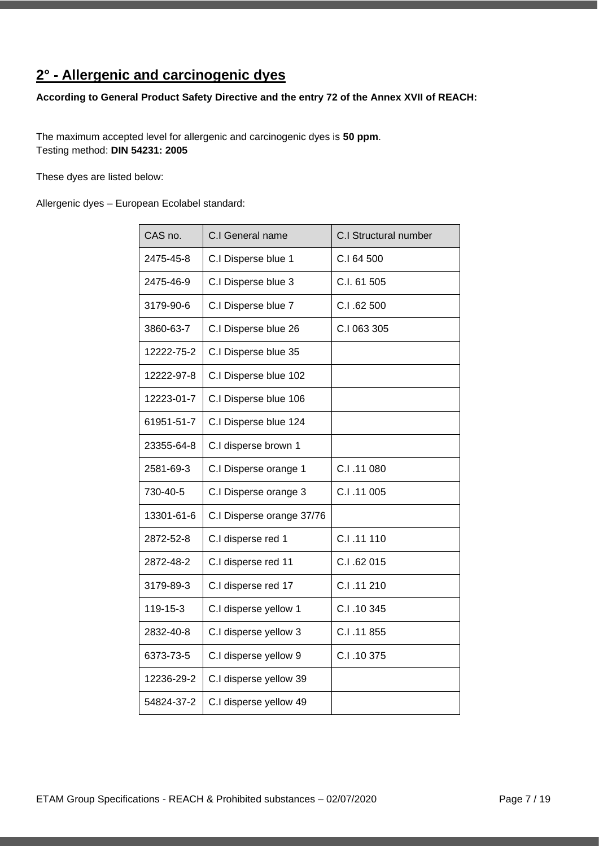# <span id="page-6-0"></span>**2° - Allergenic and carcinogenic dyes**

### **According to General Product Safety Directive and the entry 72 of the Annex XVII of REACH:**

The maximum accepted level for allergenic and carcinogenic dyes is **50 ppm**. Testing method: **DIN 54231: 2005**

These dyes are listed below:

Allergenic dyes – European Ecolabel standard:

| CAS no.    | C.I General name          | <b>C.I Structural number</b> |
|------------|---------------------------|------------------------------|
| 2475-45-8  | C.I Disperse blue 1       | C.I 64 500                   |
| 2475-46-9  | C.I Disperse blue 3       | C.I. 61 505                  |
| 3179-90-6  | C.I Disperse blue 7       | C.I .62 500                  |
| 3860-63-7  | C.I Disperse blue 26      | C.I 063 305                  |
| 12222-75-2 | C.I Disperse blue 35      |                              |
| 12222-97-8 | C.I Disperse blue 102     |                              |
| 12223-01-7 | C.I Disperse blue 106     |                              |
| 61951-51-7 | C.I Disperse blue 124     |                              |
| 23355-64-8 | C.I disperse brown 1      |                              |
| 2581-69-3  | C.I Disperse orange 1     | C.I.11080                    |
| 730-40-5   | C.I Disperse orange 3     | C.I.11005                    |
| 13301-61-6 | C.I Disperse orange 37/76 |                              |
| 2872-52-8  | C.I disperse red 1        | C.I.11 110                   |
| 2872-48-2  | C.I disperse red 11       | C.I.62015                    |
| 3179-89-3  | C.I disperse red 17       | C.I.11210                    |
| 119-15-3   | C.I disperse yellow 1     | C.I.10345                    |
| 2832-40-8  | C.I disperse yellow 3     | C.I.11855                    |
| 6373-73-5  | C.I disperse yellow 9     | C.I.10375                    |
| 12236-29-2 | C.I disperse yellow 39    |                              |
| 54824-37-2 | C.I disperse yellow 49    |                              |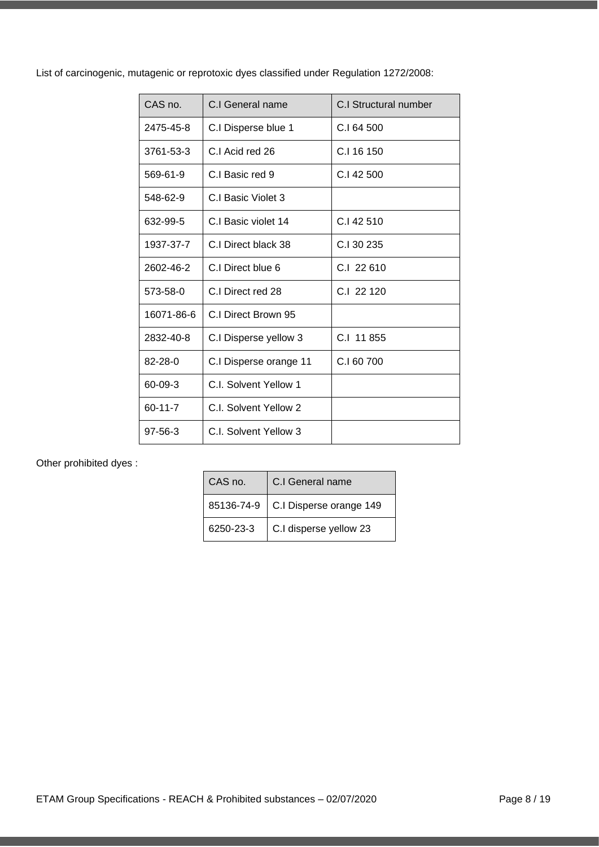List of carcinogenic, mutagenic or reprotoxic dyes classified under Regulation 1272/2008:

| CAS no.       | C.I General name       | C.I Structural number |
|---------------|------------------------|-----------------------|
| 2475-45-8     | C.I Disperse blue 1    | C.I 64 500            |
| 3761-53-3     | C.I Acid red 26        | C.I 16 150            |
| 569-61-9      | C.I Basic red 9        | C.I 42 500            |
| 548-62-9      | C.I Basic Violet 3     |                       |
| 632-99-5      | C.I Basic violet 14    | $C1$ 42 510           |
| 1937-37-7     | C.I Direct black 38    | C.I 30 235            |
| 2602-46-2     | C.I Direct blue 6      | $C1$ 22 610           |
| 573-58-0      | C.I Direct red 28      | $C1$ 22 120           |
| 16071-86-6    | C.I Direct Brown 95    |                       |
| 2832-40-8     | C.I Disperse yellow 3  | C.I 11 855            |
| $82 - 28 - 0$ | C.I Disperse orange 11 | C.I 60 700            |
| 60-09-3       | C.I. Solvent Yellow 1  |                       |
| $60 - 11 - 7$ | C.I. Solvent Yellow 2  |                       |
| $97 - 56 - 3$ | C.I. Solvent Yellow 3  |                       |

Other prohibited dyes :

| CAS no.    | C.I General name        |
|------------|-------------------------|
| 85136-74-9 | C.I Disperse orange 149 |
| 6250-23-3  | C.I disperse yellow 23  |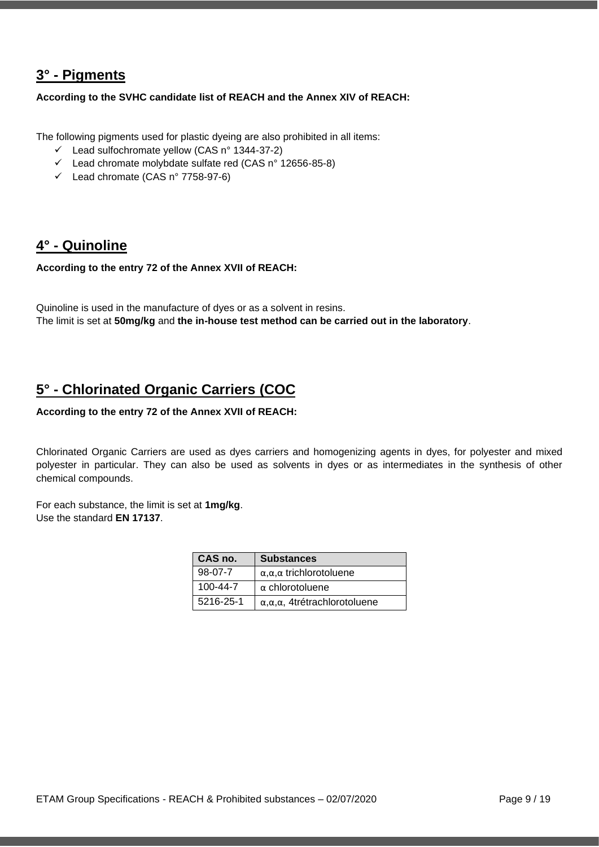### <span id="page-8-0"></span>**3° - Pigments**

**According to the SVHC candidate list of REACH and the Annex XIV of REACH:** 

The following pigments used for plastic dyeing are also prohibited in all items:

- ✓ Lead sulfochromate yellow (CAS n° 1344-37-2)
- ✓ Lead chromate molybdate sulfate red (CAS n° 12656-85-8)
- $\checkmark$  Lead chromate (CAS n° 7758-97-6)

### <span id="page-8-1"></span>**4° - Quinoline**

**According to the entry 72 of the Annex XVII of REACH:**

Quinoline is used in the manufacture of dyes or as a solvent in resins. The limit is set at **50mg/kg** and **the in-house test method can be carried out in the laboratory**.

### <span id="page-8-2"></span>**5° - Chlorinated Organic Carriers (COC**

### **According to the entry 72 of the Annex XVII of REACH:**

Chlorinated Organic Carriers are used as dyes carriers and homogenizing agents in dyes, for polyester and mixed polyester in particular. They can also be used as solvents in dyes or as intermediates in the synthesis of other chemical compounds.

For each substance, the limit is set at **1mg/kg**. Use the standard **EN 17137**.

| CAS no.        | <b>Substances</b>                               |
|----------------|-------------------------------------------------|
| $98-07-7$      | $\alpha, \alpha, \alpha$ trichlorotoluene       |
| $100 - 44 - 7$ | $\alpha$ chlorotoluene                          |
| 5216-25-1      | $\alpha, \alpha, \alpha$ , 4trétrachlorotoluene |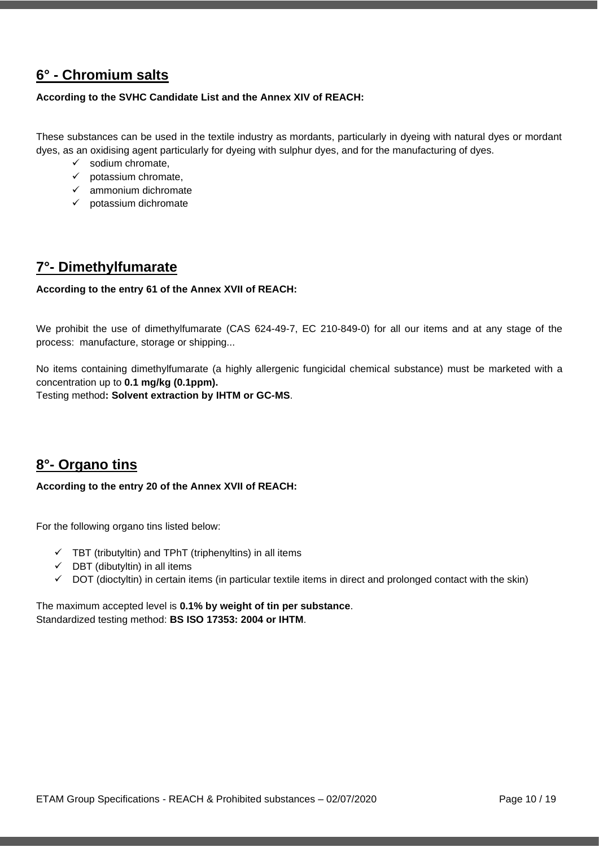### <span id="page-9-0"></span>**6° - Chromium salts**

#### **According to the SVHC Candidate List and the Annex XIV of REACH:**

These substances can be used in the textile industry as mordants, particularly in dyeing with natural dyes or mordant dyes, as an oxidising agent particularly for dyeing with sulphur dyes, and for the manufacturing of dyes.

- $\checkmark$  sodium chromate,
- $\checkmark$  potassium chromate,
- ✓ ammonium dichromate
- $\checkmark$  potassium dichromate

### <span id="page-9-1"></span>**7°- Dimethylfumarate**

#### **According to the entry 61 of the Annex XVII of REACH:**

We prohibit the use of dimethylfumarate (CAS 624-49-7, EC 210-849-0) for all our items and at any stage of the process: manufacture, storage or shipping...

No items containing dimethylfumarate (a highly allergenic fungicidal chemical substance) must be marketed with a concentration up to **0.1 mg/kg (0.1ppm).**

Testing method**: Solvent extraction by IHTM or GC-MS**.

### <span id="page-9-2"></span>**8°- Organo tins**

#### **According to the entry 20 of the Annex XVII of REACH:**

For the following organo tins listed below:

- $\checkmark$  TBT (tributyltin) and TPhT (triphenyltins) in all items
- $\checkmark$  DBT (dibutyltin) in all items
- ✓ DOT (dioctyltin) in certain items (in particular textile items in direct and prolonged contact with the skin)

The maximum accepted level is **0.1% by weight of tin per substance**. Standardized testing method: **BS ISO 17353: 2004 or IHTM**.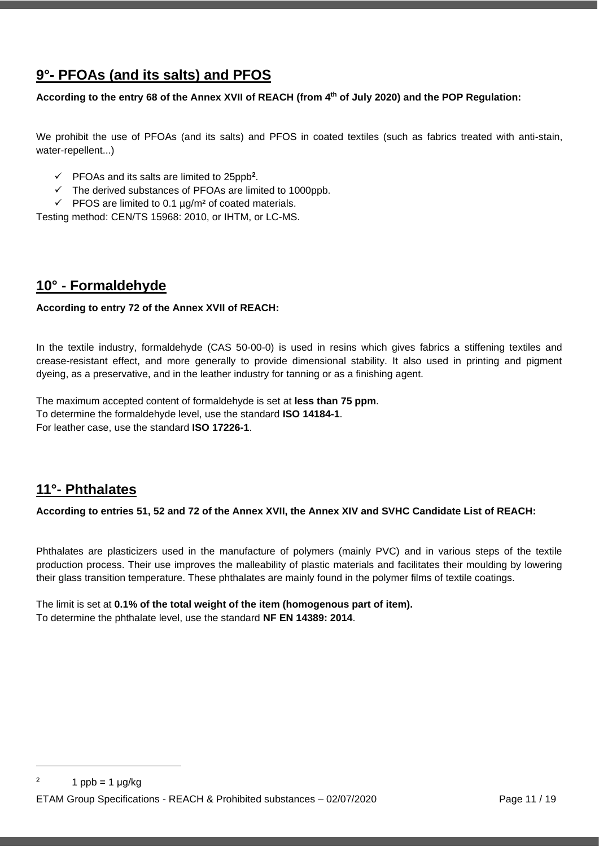## <span id="page-10-0"></span>**9°- PFOAs (and its salts) and PFOS**

#### **According to the entry 68 of the Annex XVII of REACH (from 4 th of July 2020) and the POP Regulation:**

We prohibit the use of PFOAs (and its salts) and PFOS in coated textiles (such as fabrics treated with anti-stain, water-repellent...)

- $\checkmark$  PFOAs and its salts are limited to 25ppb<sup>2</sup>.
- ✓ The derived substances of PFOAs are limited to 1000ppb.
- $\checkmark$  PFOS are limited to 0.1  $\mu$ g/m<sup>2</sup> of coated materials.

Testing method: CEN/TS 15968: 2010, or IHTM, or LC-MS.

### <span id="page-10-1"></span>**10° - Formaldehyde**

#### **According to entry 72 of the Annex XVII of REACH:**

In the textile industry, formaldehyde (CAS 50-00-0) is used in resins which gives fabrics a stiffening textiles and crease-resistant effect, and more generally to provide dimensional stability. It also used in printing and pigment dyeing, as a preservative, and in the leather industry for tanning or as a finishing agent.

The maximum accepted content of formaldehyde is set at **less than 75 ppm**. To determine the formaldehyde level, use the standard **ISO 14184-1**. For leather case, use the standard **ISO 17226-1**.

### <span id="page-10-2"></span>**11°- Phthalates**

**According to entries 51, 52 and 72 of the Annex XVII, the Annex XIV and SVHC Candidate List of REACH:** 

Phthalates are plasticizers used in the manufacture of polymers (mainly PVC) and in various steps of the textile production process. Their use improves the malleability of plastic materials and facilitates their moulding by lowering their glass transition temperature. These phthalates are mainly found in the polymer films of textile coatings.

The limit is set at **0.1% of the total weight of the item (homogenous part of item).** To determine the phthalate level, use the standard **NF EN 14389: 2014**.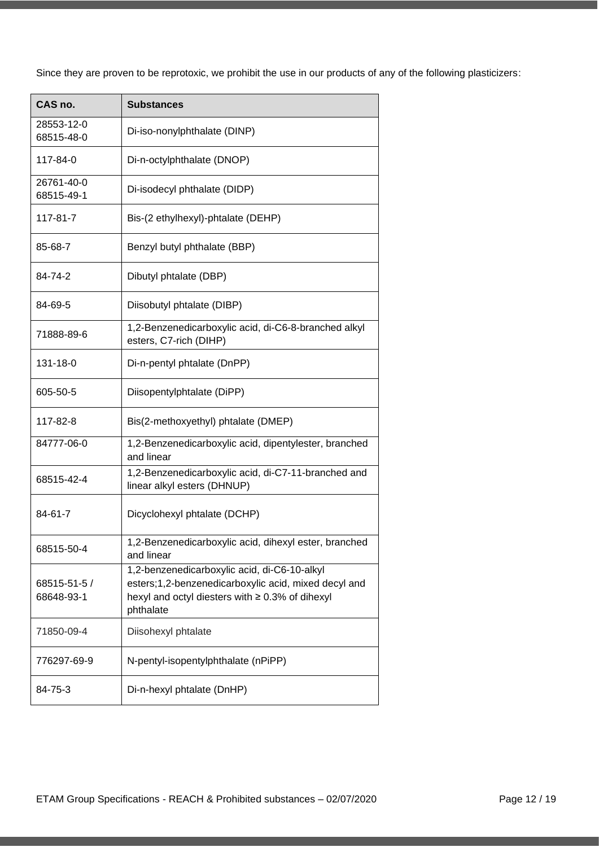Since they are proven to be reprotoxic, we prohibit the use in our products of any of the following plasticizers:

| CAS no.                    | <b>Substances</b>                                                                                                                                                          |
|----------------------------|----------------------------------------------------------------------------------------------------------------------------------------------------------------------------|
| 28553-12-0<br>68515-48-0   | Di-iso-nonylphthalate (DINP)                                                                                                                                               |
| 117-84-0                   | Di-n-octylphthalate (DNOP)                                                                                                                                                 |
| 26761-40-0<br>68515-49-1   | Di-isodecyl phthalate (DIDP)                                                                                                                                               |
| 117-81-7                   | Bis-(2 ethylhexyl)-phtalate (DEHP)                                                                                                                                         |
| 85-68-7                    | Benzyl butyl phthalate (BBP)                                                                                                                                               |
| 84-74-2                    | Dibutyl phtalate (DBP)                                                                                                                                                     |
| 84-69-5                    | Diisobutyl phtalate (DIBP)                                                                                                                                                 |
| 71888-89-6                 | 1,2-Benzenedicarboxylic acid, di-C6-8-branched alkyl<br>esters, C7-rich (DIHP)                                                                                             |
| 131-18-0                   | Di-n-pentyl phtalate (DnPP)                                                                                                                                                |
| 605-50-5                   | Diisopentylphtalate (DiPP)                                                                                                                                                 |
| 117-82-8                   | Bis(2-methoxyethyl) phtalate (DMEP)                                                                                                                                        |
| 84777-06-0                 | 1,2-Benzenedicarboxylic acid, dipentylester, branched<br>and linear                                                                                                        |
| 68515-42-4                 | 1,2-Benzenedicarboxylic acid, di-C7-11-branched and<br>linear alkyl esters (DHNUP)                                                                                         |
| 84-61-7                    | Dicyclohexyl phtalate (DCHP)                                                                                                                                               |
| 68515-50-4                 | 1,2-Benzenedicarboxylic acid, dihexyl ester, branched<br>and linear                                                                                                        |
| 68515-51-5 /<br>68648-93-1 | 1,2-benzenedicarboxylic acid, di-C6-10-alkyl<br>esters;1,2-benzenedicarboxylic acid, mixed decyl and<br>hexyl and octyl diesters with $\geq 0.3\%$ of dihexyl<br>phthalate |
| 71850-09-4                 | Diisohexyl phtalate                                                                                                                                                        |
| 776297-69-9                | N-pentyl-isopentylphthalate (nPiPP)                                                                                                                                        |
| 84-75-3                    | Di-n-hexyl phtalate (DnHP)                                                                                                                                                 |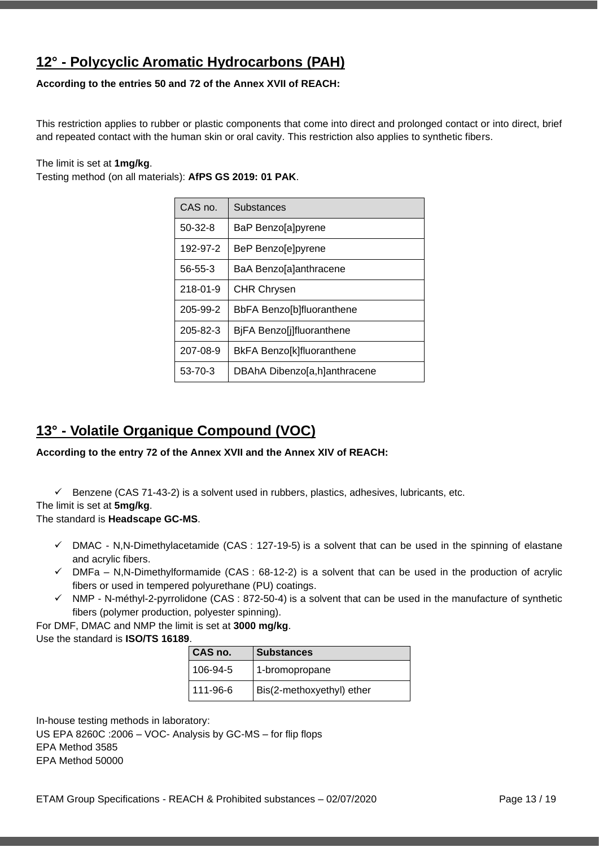## <span id="page-12-0"></span>**12° - Polycyclic Aromatic Hydrocarbons (PAH)**

### **According to the entries 50 and 72 of the Annex XVII of REACH:**

This restriction applies to rubber or plastic components that come into direct and prolonged contact or into direct, brief and repeated contact with the human skin or oral cavity. This restriction also applies to synthetic fibers.

#### The limit is set at **1mg/kg**.

Testing method (on all materials): **AfPS GS 2019: 01 PAK**.

| CAS no.        | <b>Substances</b>            |
|----------------|------------------------------|
| $50-32-8$      | BaP Benzo[a]pyrene           |
| 192-97-2       | BeP Benzo[e]pyrene           |
| 56-55-3        | BaA Benzo[a]anthracene       |
| $218 - 01 - 9$ | <b>CHR Chrysen</b>           |
| 205-99-2       | BbFA Benzo[b]fluoranthene    |
| 205-82-3       | BjFA Benzo[j]fluoranthene    |
| 207-08-9       | BkFA Benzo[k]fluoranthene    |
| 53-70-3        | DBAhA Dibenzo[a,h]anthracene |

### <span id="page-12-1"></span>**13° - Volatile Organique Compound (VOC)**

#### **According to the entry 72 of the Annex XVII and the Annex XIV of REACH:**

✓ Benzene (CAS 71-43-2) is a solvent used in rubbers, plastics, adhesives, lubricants, etc.

#### The limit is set at **5mg/kg**.

#### The standard is **Headscape GC-MS**.

- $\checkmark$  DMAC N,N-Dimethylacetamide (CAS : 127-19-5) is a solvent that can be used in the spinning of elastane and acrylic fibers.
- $\checkmark$  DMFa N,N-Dimethylformamide (CAS: 68-12-2) is a solvent that can be used in the production of acrylic fibers or used in tempered polyurethane (PU) coatings.
- ✓ NMP N-méthyl-2-pyrrolidone (CAS : 872-50-4) is a solvent that can be used in the manufacture of synthetic fibers (polymer production, polyester spinning).

For DMF, DMAC and NMP the limit is set at **3000 mg/kg**. Use the standard is **ISO/TS 16189**.

| CAS no.  | <b>Substances</b>         |
|----------|---------------------------|
| 106-94-5 | 1-bromopropane            |
| 111-96-6 | Bis(2-methoxyethyl) ether |

In-house testing methods in laboratory: US EPA 8260C :2006 – VOC- Analysis by GC-MS – for flip flops EPA Method 3585 EPA Method 50000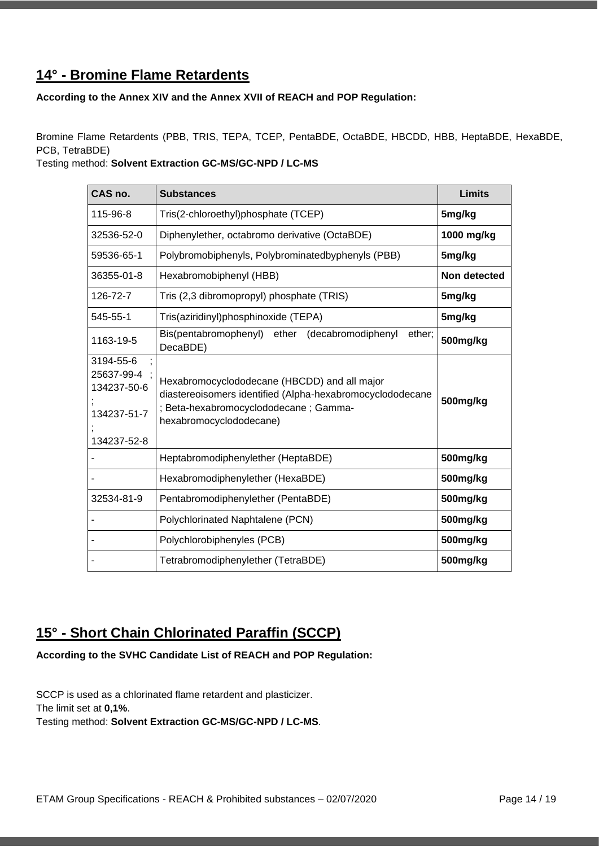### <span id="page-13-0"></span>**14° - Bromine Flame Retardents**

**According to the Annex XIV and the Annex XVII of REACH and POP Regulation:**

Bromine Flame Retardents (PBB, TRIS, TEPA, TCEP, PentaBDE, OctaBDE, HBCDD, HBB, HeptaBDE, HexaBDE, PCB, TetraBDE)

Testing method: **Solvent Extraction GC-MS/GC-NPD / LC-MS**

| CAS no.                                                              | <b>Substances</b>                                                                                                                                                              | Limits       |
|----------------------------------------------------------------------|--------------------------------------------------------------------------------------------------------------------------------------------------------------------------------|--------------|
| 115-96-8                                                             | Tris(2-chloroethyl)phosphate (TCEP)                                                                                                                                            | 5mg/kg       |
| 32536-52-0                                                           | Diphenylether, octabromo derivative (OctaBDE)                                                                                                                                  | 1000 mg/kg   |
| 59536-65-1                                                           | Polybromobiphenyls, Polybrominatedbyphenyls (PBB)                                                                                                                              | 5mg/kg       |
| 36355-01-8                                                           | Hexabromobiphenyl (HBB)                                                                                                                                                        | Non detected |
| 126-72-7                                                             | Tris (2,3 dibromopropyl) phosphate (TRIS)                                                                                                                                      | 5mg/kg       |
| 545-55-1                                                             | Tris(aziridinyl)phosphinoxide (TEPA)                                                                                                                                           | 5mg/kg       |
| 1163-19-5                                                            | Bis(pentabromophenyl) ether<br>(decabromodiphenyl<br>ether;<br>DecaBDE)                                                                                                        | 500mg/kg     |
| 3194-55-6<br>25637-99-4<br>134237-50-6<br>134237-51-7<br>134237-52-8 | Hexabromocyclododecane (HBCDD) and all major<br>diastereoisomers identified (Alpha-hexabromocyclododecane<br>; Beta-hexabromocyclododecane ; Gamma-<br>hexabromocyclododecane) | 500mg/kg     |
|                                                                      | Heptabromodiphenylether (HeptaBDE)                                                                                                                                             | 500mg/kg     |
|                                                                      | Hexabromodiphenylether (HexaBDE)                                                                                                                                               | 500mg/kg     |
| 32534-81-9                                                           | Pentabromodiphenylether (PentaBDE)                                                                                                                                             | 500mg/kg     |
|                                                                      | Polychlorinated Naphtalene (PCN)                                                                                                                                               | 500mg/kg     |
|                                                                      | Polychlorobiphenyles (PCB)                                                                                                                                                     | 500mg/kg     |
|                                                                      | Tetrabromodiphenylether (TetraBDE)                                                                                                                                             | 500mg/kg     |

### <span id="page-13-1"></span>**15° - Short Chain Chlorinated Paraffin (SCCP)**

**According to the SVHC Candidate List of REACH and POP Regulation:**

SCCP is used as a chlorinated flame retardent and plasticizer. The limit set at **0,1%**. Testing method: **Solvent Extraction GC-MS/GC-NPD / LC-MS**.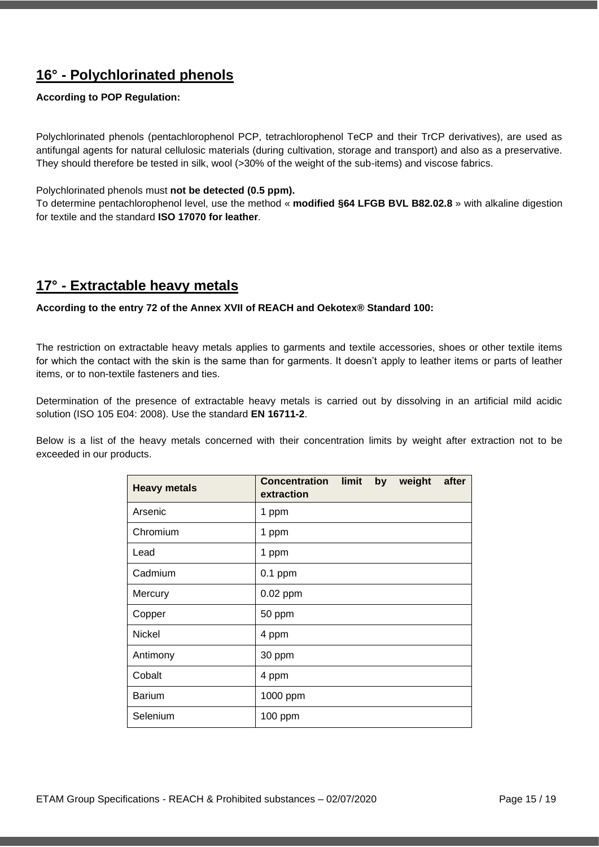## <span id="page-14-0"></span>**16° - Polychlorinated phenols**

### **According to POP Regulation:**

Polychlorinated phenols (pentachlorophenol PCP, tetrachlorophenol TeCP and their TrCP derivatives), are used as antifungal agents for natural cellulosic materials (during cultivation, storage and transport) and also as a preservative. They should therefore be tested in silk, wool (>30% of the weight of the sub-items) and viscose fabrics.

#### Polychlorinated phenols must **not be detected (0.5 ppm).**

To determine pentachlorophenol level, use the method « **modified §64 LFGB BVL B82.02.8** » with alkaline digestion for textile and the standard **ISO 17070 for leather**.

### <span id="page-14-1"></span>**17° - Extractable heavy metals**

**According to the entry 72 of the Annex XVII of REACH and Oekotex® Standard 100:**

The restriction on extractable heavy metals applies to garments and textile accessories, shoes or other textile items for which the contact with the skin is the same than for garments. It doesn't apply to leather items or parts of leather items, or to non-textile fasteners and ties.

Determination of the presence of extractable heavy metals is carried out by dissolving in an artificial mild acidic solution (ISO 105 E04: 2008). Use the standard **EN 16711-2**.

Below is a list of the heavy metals concerned with their concentration limits by weight after extraction not to be exceeded in our products.

| <b>Heavy metals</b> | <b>Concentration</b><br>extraction | limit | by | weight | after |
|---------------------|------------------------------------|-------|----|--------|-------|
| Arsenic             | 1 ppm                              |       |    |        |       |
| Chromium            | 1 ppm                              |       |    |        |       |
| Lead                | 1 ppm                              |       |    |        |       |
| Cadmium             | $0.1$ ppm                          |       |    |        |       |
| Mercury             | 0.02 ppm                           |       |    |        |       |
| Copper              | 50 ppm                             |       |    |        |       |
| <b>Nickel</b>       | 4 ppm                              |       |    |        |       |
| Antimony            | 30 ppm                             |       |    |        |       |
| Cobalt              | 4 ppm                              |       |    |        |       |
| <b>Barium</b>       | 1000 ppm                           |       |    |        |       |
| Selenium            | 100 ppm                            |       |    |        |       |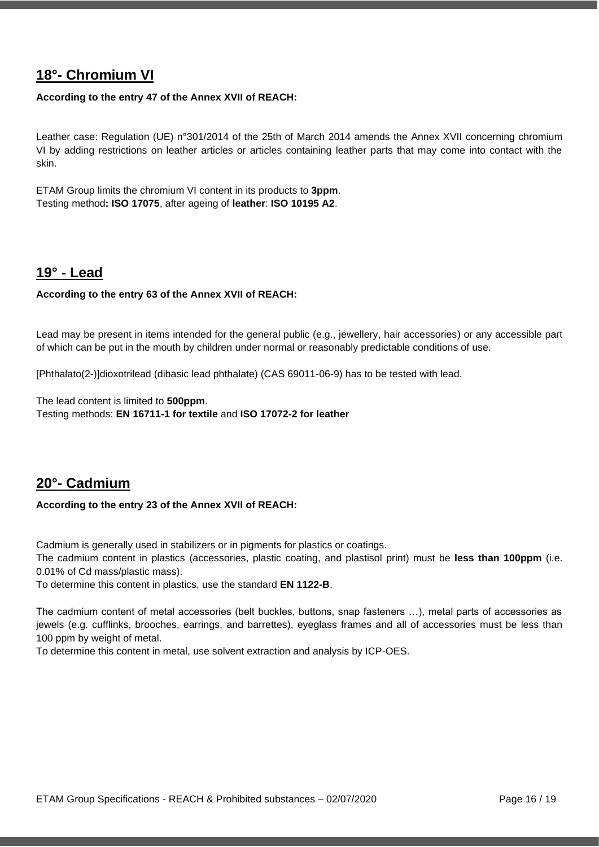### <span id="page-15-0"></span>**18°- Chromium VI**

#### **According to the entry 47 of the Annex XVII of REACH:**

Leather case: Regulation (UE) n°301/2014 of the 25th of March 2014 amends the Annex XVII concerning chromium VI by adding restrictions on leather articles or articles containing leather parts that may come into contact with the skin.

ETAM Group limits the chromium VI content in its products to **3ppm**. Testing method**: ISO 17075**, after ageing of **leather**: **ISO 10195 A2**.

### <span id="page-15-1"></span>**19° - Lead**

#### **According to the entry 63 of the Annex XVII of REACH:**

Lead may be present in items intended for the general public (e.g., jewellery, hair accessories) or any accessible part of which can be put in the mouth by children under normal or reasonably predictable conditions of use.

[Phthalato(2-)]dioxotrilead (dibasic lead phthalate) (CAS 69011-06-9) has to be tested with lead.

The lead content is limited to **500ppm**. Testing methods: **EN 16711-1 for textile** and **ISO 17072-2 for leather**

### <span id="page-15-2"></span>**20°- Cadmium**

#### **According to the entry 23 of the Annex XVII of REACH:**

Cadmium is generally used in stabilizers or in pigments for plastics or coatings.

The cadmium content in plastics (accessories, plastic coating, and plastisol print) must be **less than 100ppm** (i.e. 0.01% of Cd mass/plastic mass).

To determine this content in plastics, use the standard **EN 1122-B**.

The cadmium content of metal accessories (belt buckles, buttons, snap fasteners …), metal parts of accessories as jewels (e.g. cufflinks, brooches, earrings, and barrettes), eyeglass frames and all of accessories must be less than 100 ppm by weight of metal.

To determine this content in metal, use solvent extraction and analysis by ICP-OES.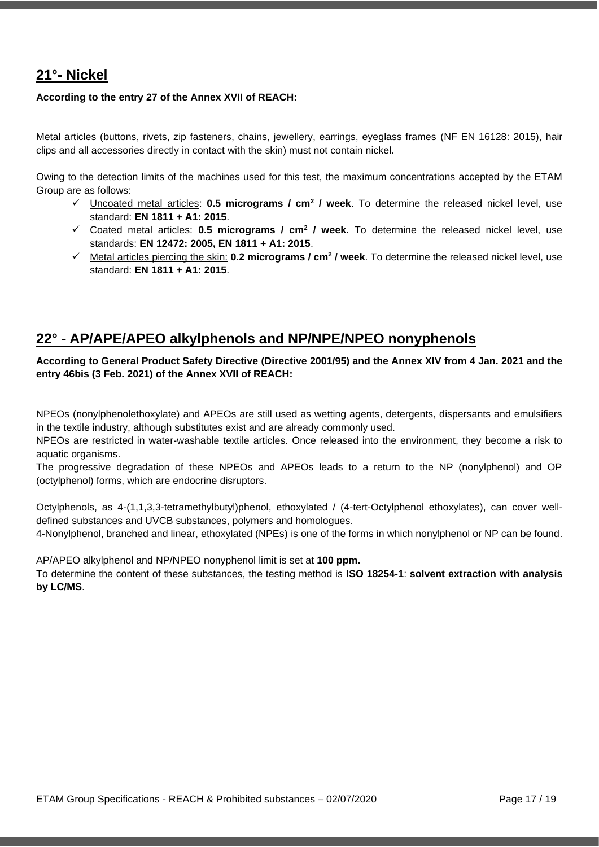### <span id="page-16-0"></span>**21°- Nickel**

#### **According to the entry 27 of the Annex XVII of REACH:**

Metal articles (buttons, rivets, zip fasteners, chains, jewellery, earrings, eyeglass frames (NF EN 16128: 2015), hair clips and all accessories directly in contact with the skin) must not contain nickel.

Owing to the detection limits of the machines used for this test, the maximum concentrations accepted by the ETAM Group are as follows:

- ✓ Uncoated metal articles: **0.5 micrograms / cm<sup>2</sup> / week**. To determine the released nickel level, use standard: **EN 1811 + A1: 2015**.
- ✓ Coated metal articles: **0.5 micrograms / cm<sup>2</sup> / week.** To determine the released nickel level, use standards: **EN 12472: 2005, EN 1811 + A1: 2015**.
- ✓ Metal articles piercing the skin: **0.2 micrograms / cm<sup>2</sup> / week**. To determine the released nickel level, use standard: **EN 1811 + A1: 2015**.

### <span id="page-16-1"></span>**22° - AP/APE/APEO alkylphenols and NP/NPE/NPEO nonyphenols**

**According to General Product Safety Directive (Directive 2001/95) and the Annex XIV from 4 Jan. 2021 and the entry 46bis (3 Feb. 2021) of the Annex XVII of REACH:**

NPEOs (nonylphenolethoxylate) and APEOs are still used as wetting agents, detergents, dispersants and emulsifiers in the textile industry, although substitutes exist and are already commonly used.

NPEOs are restricted in water-washable textile articles. Once released into the environment, they become a risk to aquatic organisms.

The progressive degradation of these NPEOs and APEOs leads to a return to the NP (nonylphenol) and OP (octylphenol) forms, which are endocrine disruptors.

Octylphenols, as 4-(1,1,3,3-tetramethylbutyl)phenol, ethoxylated / (4-tert-Octylphenol ethoxylates), can cover welldefined substances and UVCB substances, polymers and homologues.

4-Nonylphenol, branched and linear, ethoxylated (NPEs) is one of the forms in which nonylphenol or NP can be found.

AP/APEO alkylphenol and NP/NPEO nonyphenol limit is set at **100 ppm.**

To determine the content of these substances, the testing method is **ISO 18254-1**: **solvent extraction with analysis by LC/MS**.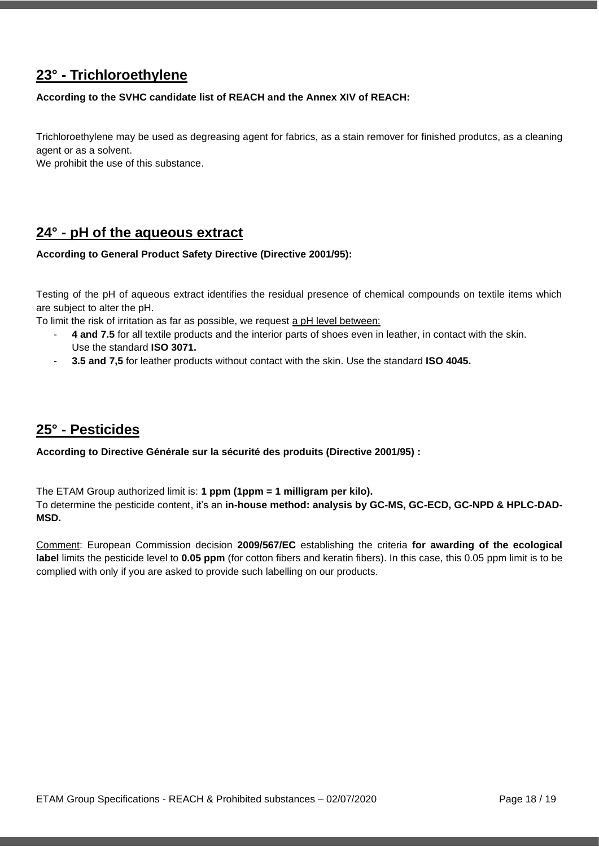### <span id="page-17-0"></span>**23° - Trichloroethylene**

#### **According to the SVHC candidate list of REACH and the Annex XIV of REACH:**

Trichloroethylene may be used as degreasing agent for fabrics, as a stain remover for finished produtcs, as a cleaning agent or as a solvent.

We prohibit the use of this substance.

### <span id="page-17-1"></span>**24° - pH of the aqueous extract**

#### **According to General Product Safety Directive (Directive 2001/95):**

Testing of the pH of aqueous extract identifies the residual presence of chemical compounds on textile items which are subject to alter the pH.

To limit the risk of irritation as far as possible, we request a pH level between:

- **4 and 7.5** for all textile products and the interior parts of shoes even in leather, in contact with the skin. Use the standard **ISO 3071.**
- **3.5 and 7,5** for leather products without contact with the skin. Use the standard **ISO 4045.**

### <span id="page-17-2"></span>**25° - Pesticides**

**According to Directive Générale sur la sécurité des produits (Directive 2001/95) :**

The ETAM Group authorized limit is: **1 ppm (1ppm = 1 milligram per kilo).**

To determine the pesticide content, it's an **in-house method: analysis by GC-MS, GC-ECD, GC-NPD & HPLC-DAD-MSD.**

Comment: European Commission decision **2009/567/EC** establishing the criteria **for awarding of the ecological label** limits the pesticide level to **0.05 ppm** (for cotton fibers and keratin fibers). In this case, this 0.05 ppm limit is to be complied with only if you are asked to provide such labelling on our products.